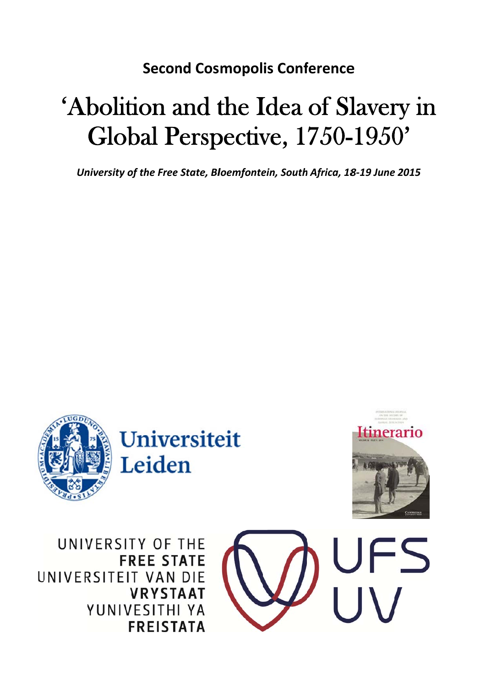## **Second Cosmopolis Conference**

## 'Abolition and the Idea of Slavery in Global Perspective, 1750-1950'

University of the Free State, Bloemfontein, South Africa, 18-19 June 2015



UNIVERSITY OF THE **FREE STATE** UNIVERSITEIT VAN DIE **VRYSTAAT** YUNIVESITHI YA **FREISTATA** 

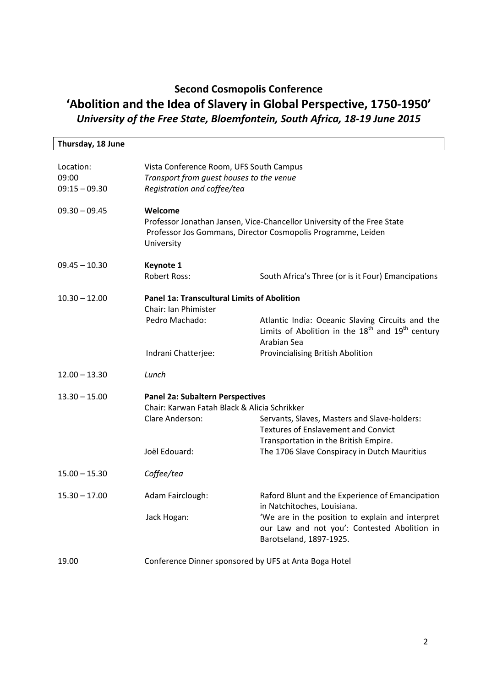## **Second Cosmopolis Conference 'Abolition and the Idea of Slavery in Global Perspective, 1750‐1950'** *University of the Free State, Bloemfontein, South Africa, 18‐19 June 2015*

| Thursday, 18 June                     |                                                                                                                                                                  |                                                                                                                                             |  |
|---------------------------------------|------------------------------------------------------------------------------------------------------------------------------------------------------------------|---------------------------------------------------------------------------------------------------------------------------------------------|--|
| Location:<br>09:00<br>$09:15 - 09.30$ | Vista Conference Room, UFS South Campus<br>Transport from guest houses to the venue<br>Registration and coffee/tea                                               |                                                                                                                                             |  |
| $09.30 - 09.45$                       | Welcome<br>Professor Jonathan Jansen, Vice-Chancellor University of the Free State<br>Professor Jos Gommans, Director Cosmopolis Programme, Leiden<br>University |                                                                                                                                             |  |
| $09.45 - 10.30$                       | <b>Keynote 1</b><br>Robert Ross:                                                                                                                                 | South Africa's Three (or is it Four) Emancipations                                                                                          |  |
| $10.30 - 12.00$                       | <b>Panel 1a: Transcultural Limits of Abolition</b><br>Chair: Ian Phimister                                                                                       |                                                                                                                                             |  |
|                                       | Pedro Machado:                                                                                                                                                   | Atlantic India: Oceanic Slaving Circuits and the<br>Limits of Abolition in the 18 <sup>th</sup> and 19 <sup>th</sup> century<br>Arabian Sea |  |
|                                       | Indrani Chatterjee:                                                                                                                                              | Provincialising British Abolition                                                                                                           |  |
| $12.00 - 13.30$                       | Lunch                                                                                                                                                            |                                                                                                                                             |  |
| $13.30 - 15.00$                       | <b>Panel 2a: Subaltern Perspectives</b><br>Chair: Karwan Fatah Black & Alicia Schrikker<br>Clare Anderson:                                                       | Servants, Slaves, Masters and Slave-holders:<br><b>Textures of Enslavement and Convict</b><br>Transportation in the British Empire.         |  |
|                                       | Joël Edouard:                                                                                                                                                    | The 1706 Slave Conspiracy in Dutch Mauritius                                                                                                |  |
| $15.00 - 15.30$                       | Coffee/tea                                                                                                                                                       |                                                                                                                                             |  |
| $15.30 - 17.00$                       | Adam Fairclough:                                                                                                                                                 | Raford Blunt and the Experience of Emancipation<br>in Natchitoches, Louisiana.                                                              |  |
|                                       | Jack Hogan:                                                                                                                                                      | 'We are in the position to explain and interpret<br>our Law and not you': Contested Abolition in<br>Barotseland, 1897-1925.                 |  |
| 19.00                                 | Conference Dinner sponsored by UFS at Anta Boga Hotel                                                                                                            |                                                                                                                                             |  |